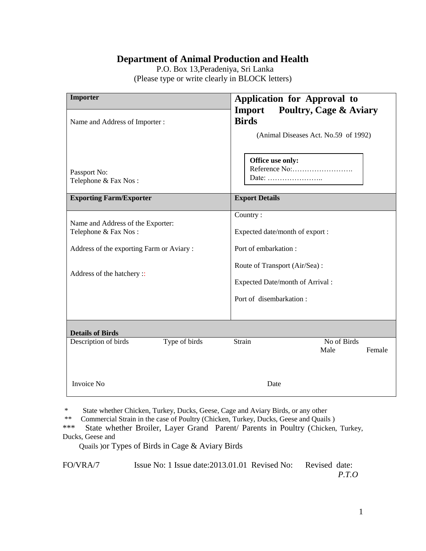# **Department of Animal Production and Health**

 P.O. Box 13,Peradeniya, Sri Lanka (Please type or write clearly in BLOCK letters)

| Importer                                                                                                                            | Application for Approval to<br><b>Poultry, Cage &amp; Aviary</b><br><b>Import</b>                                                                                   |
|-------------------------------------------------------------------------------------------------------------------------------------|---------------------------------------------------------------------------------------------------------------------------------------------------------------------|
| Name and Address of Importer:                                                                                                       | <b>Birds</b><br>(Animal Diseases Act. No.59 of 1992)                                                                                                                |
| Passport No:<br>Telephone & Fax Nos:                                                                                                | Office use only:<br>Date:                                                                                                                                           |
| <b>Exporting Farm/Exporter</b>                                                                                                      | <b>Export Details</b>                                                                                                                                               |
| Name and Address of the Exporter:<br>Telephone & Fax Nos:<br>Address of the exporting Farm or Aviary:<br>Address of the hatchery :: | Country:<br>Expected date/month of export :<br>Port of embarkation:<br>Route of Transport (Air/Sea):<br>Expected Date/month of Arrival :<br>Port of disembarkation: |
|                                                                                                                                     |                                                                                                                                                                     |
| <b>Details of Birds</b>                                                                                                             |                                                                                                                                                                     |
| Type of birds<br>Description of birds                                                                                               | No of Birds<br>Strain<br>Male<br>Female                                                                                                                             |
| <b>Invoice No</b>                                                                                                                   | Date                                                                                                                                                                |

\* State whether Chicken, Turkey, Ducks, Geese, Cage and Aviary Birds, or any other<br>\*\* Commercial Strain in the case of Poultry (Chicken Turkey, Ducks, Geese and Quails

\*\* Commercial Strain in the case of Poultry (Chicken, Turkey, Ducks, Geese and Quails )<br>\*\*\* State whether Broiler I aver Grand Parent/ Parents in Poultry (Chicken

State whether Broiler, Layer Grand Parent/ Parents in Poultry (Chicken, Turkey, Ducks, Geese and

Quails )or Types of Birds in Cage & Aviary Birds

FO/VRA/7 Issue No: 1 Issue date: 2013.01.01 Revised No: Revised date: *P.T.O*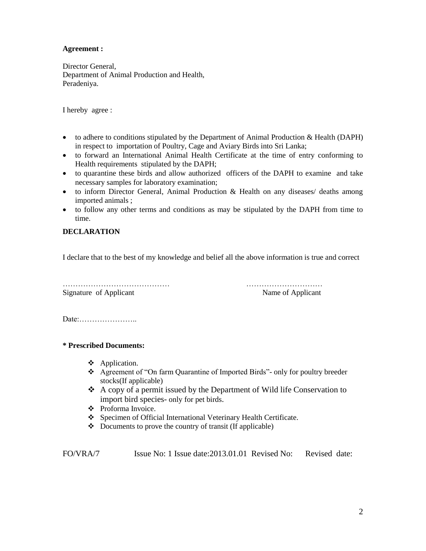#### **Agreement :**

Director General, Department of Animal Production and Health, Peradeniya.

I hereby agree :

- $\bullet$  to adhere to conditions stipulated by the Department of Animal Production & Health (DAPH) in respect to importation of Poultry, Cage and Aviary Birds into Sri Lanka;
- to forward an International Animal Health Certificate at the time of entry conforming to Health requirements stipulated by the DAPH;
- to quarantine these birds and allow authorized officers of the DAPH to examine and take necessary samples for laboratory examination;
- to inform Director General, Animal Production & Health on any diseases/ deaths among imported animals ;
- to follow any other terms and conditions as may be stipulated by the DAPH from time to time.

### **DECLARATION**

I declare that to the best of my knowledge and belief all the above information is true and correct

…………………………………… ………………………… Signature of Applicant Name of Applicant Name of Applicant

Date:…………………..

**\* Prescribed Documents:**

- ❖ Application.
- Agreement of "On farm Quarantine of Imported Birds"- only for poultry breeder stocks(If applicable)
- $\triangle$  A copy of a permit issued by the Department of Wild life Conservation to import bird species- only for pet birds.
- Proforma Invoice.
- Specimen of Official International Veterinary Health Certificate.
- $\triangle$  Documents to prove the country of transit (If applicable)

FO/VRA/7 Issue No: 1 Issue date:2013.01.01 Revised No: Revised date: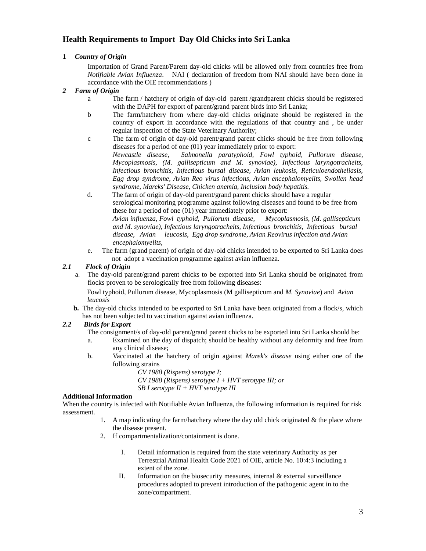## **Health Requirements to Import Day Old Chicks into Sri Lanka**

#### **1** *Country of Origin*

Importation of Grand Parent/Parent day-old chicks will be allowed only from countries free from *Notifiable Avian Influenza*. – NAI ( declaration of freedom from NAI should have been done in accordance with the OIE recommendations )

- *2 Farm of Origin*
	- a The farm / hatchery of origin of day-old parent /grandparent chicks should be registered with the DAPH for export of parent/grand parent birds into Sri Lanka;
	- b The farm/hatchery from where day-old chicks originate should be registered in the country of export in accordance with the regulations of that country and , be under regular inspection of the State Veterinary Authority;
	- c The farm of origin of day-old parent/grand parent chicks should be free from following diseases for a period of one (01) year immediately prior to export: *Newcastle disease, Salmonella paratyphoid, Fowl typhoid, Pullorum disease, Mycoplasmosis, (M. gallisepticum and M. synoviae), Infectious laryngotracheits, Infectious bronchitis, Infectious bursal disease, Avian leukosis, Reticuloendotheliasis, Egg drop syndrome, Avian Reo virus infections, Avian encephalomyelits, Swollen head syndrome, Mareks' Disease, Chicken anemia, Inclusion body hepatitis.*
	- d. The farm of origin of day-old parent/grand parent chicks should have a regular serological monitoring programme against following diseases and found to be free from these for a period of one (01) year immediately prior to export: *Avian influenza, Fowl typhoid, Pullorum disease, Mycoplasmosis, (M. gallisepticum and M. synoviae), Infectious laryngotracheits, Infectious bronchitis, Infectious bursal disease, Avian leucosis, Egg drop syndrome, Avian Reovirus infection and Avian encephalomyelits,*
	- e. The farm (grand parent) of origin of day-old chicks intended to be exported to Sri Lanka does not adopt a vaccination programme against avian influenza.

#### *2.1 Flock of Origin*

a. The day-old parent/grand parent chicks to be exported into Sri Lanka should be originated from flocks proven to be serologically free from following diseases:

 Fowl typhoid, Pullorum disease, Mycoplasmosis (M gallisepticum and *M. Synoviae*) and *Avian leucosis*

**b.** The day-old chicks intended to be exported to Sri Lanka have been originated from a flock/s, which has not been subjected to vaccination against avian influenza.

#### *2.2 Birds for Export*

- The consignment/s of day-old parent/grand parent chicks to be exported into Sri Lanka should be:
- a. Examined on the day of dispatch; should be healthy without any deformity and free from any clinical disease;
- b. Vaccinated at the hatchery of origin against *Marek's disease* using either one of the following strains
	- *CV 1988 (Rispens) serotype I; CV 1988 (Rispens) serotype I + HVT serotype III; or SB I serotype II + HVT serotype III*

#### **Additional Information**

When the country is infected with Notifiable Avian Influenza, the following information is required for risk assessment.

- 1. A map indicating the farm/hatchery where the day old chick originated  $\&$  the place where the disease present.
- 2. If compartmentalization/containment is done.
	- I. Detail information is required from the state veterinary Authority as per Terrestrial Animal Health Code 2021 of OIE, article No. 10:4:3 including a extent of the zone.
	- II. Information on the biosecurity measures, internal & external surveillance procedures adopted to prevent introduction of the pathogenic agent in to the zone/compartment.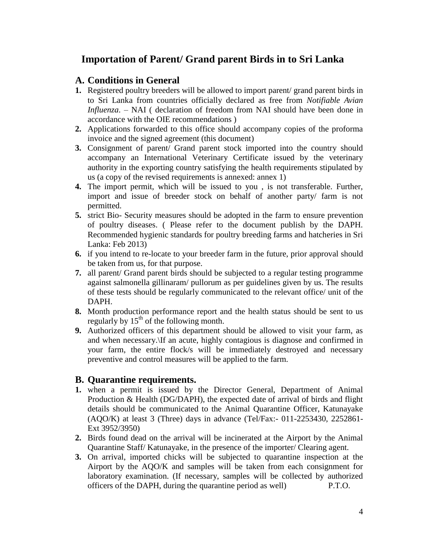# **Importation of Parent/ Grand parent Birds in to Sri Lanka**

## **A. Conditions in General**

- **1.** Registered poultry breeders will be allowed to import parent/ grand parent birds in to Sri Lanka from countries officially declared as free from *Notifiable Avian Influenza*. – NAI ( declaration of freedom from NAI should have been done in accordance with the OIE recommendations )
- **2.** Applications forwarded to this office should accompany copies of the proforma invoice and the signed agreement (this document)
- **3.** Consignment of parent/ Grand parent stock imported into the country should accompany an International Veterinary Certificate issued by the veterinary authority in the exporting country satisfying the health requirements stipulated by us (a copy of the revised requirements is annexed: annex 1)
- **4.** The import permit, which will be issued to you , is not transferable. Further, import and issue of breeder stock on behalf of another party/ farm is not permitted.
- **5.** strict Bio- Security measures should be adopted in the farm to ensure prevention of poultry diseases. ( Please refer to the document publish by the DAPH. Recommended hygienic standards for poultry breeding farms and hatcheries in Sri Lanka: Feb 2013)
- **6.** if you intend to re-locate to your breeder farm in the future, prior approval should be taken from us, for that purpose.
- **7.** all parent/ Grand parent birds should be subjected to a regular testing programme against salmonella gillinaram/ pullorum as per guidelines given by us. The results of these tests should be regularly communicated to the relevant office/ unit of the DAPH.
- **8.** Month production performance report and the health status should be sent to us regularly by  $15<sup>th</sup>$  of the following month.
- **9.** Authorized officers of this department should be allowed to visit your farm, as and when necessary.\If an acute, highly contagious is diagnose and confirmed in your farm, the entire flock/s will be immediately destroyed and necessary preventive and control measures will be applied to the farm.

## **B. Quarantine requirements.**

- **1.** when a permit is issued by the Director General, Department of Animal Production & Health (DG/DAPH), the expected date of arrival of birds and flight details should be communicated to the Animal Quarantine Officer, Katunayake (AQO/K) at least 3 (Three) days in advance (Tel/Fax:- 011-2253430, 2252861- Ext 3952/3950)
- **2.** Birds found dead on the arrival will be incinerated at the Airport by the Animal Quarantine Staff/ Katunayake, in the presence of the importer/ Clearing agent.
- **3.** On arrival, imported chicks will be subjected to quarantine inspection at the Airport by the AQO/K and samples will be taken from each consignment for laboratory examination. (If necessary, samples will be collected by authorized officers of the DAPH, during the quarantine period as well) P.T.O.